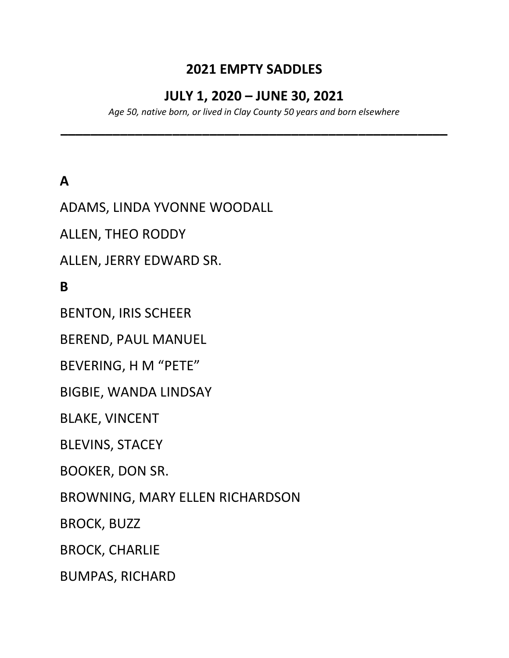### 2021 EMPTY SADDLES

#### JULY 1, 2020 – JUNE 30, 2021

Age 50, native born, or lived in Clay County 50 years and born elsewhere

\_\_\_\_\_\_\_\_\_\_\_\_\_\_\_\_\_\_\_\_\_\_\_\_\_\_\_\_\_\_\_\_\_\_\_\_\_\_\_\_\_\_\_\_\_\_\_\_\_\_\_\_

# A

ADAMS, LINDA YVONNE WOODALL

ALLEN, THEO RODDY

ALLEN, JERRY EDWARD SR.

B

BENTON, IRIS SCHEER

BEREND, PAUL MANUEL

BEVERING, H M "PETE"

BIGBIE, WANDA LINDSAY

BLAKE, VINCENT

BLEVINS, STACEY

BOOKER, DON SR.

BROWNING, MARY ELLEN RICHARDSON

BROCK, BUZZ

BROCK, CHARLIE

BUMPAS, RICHARD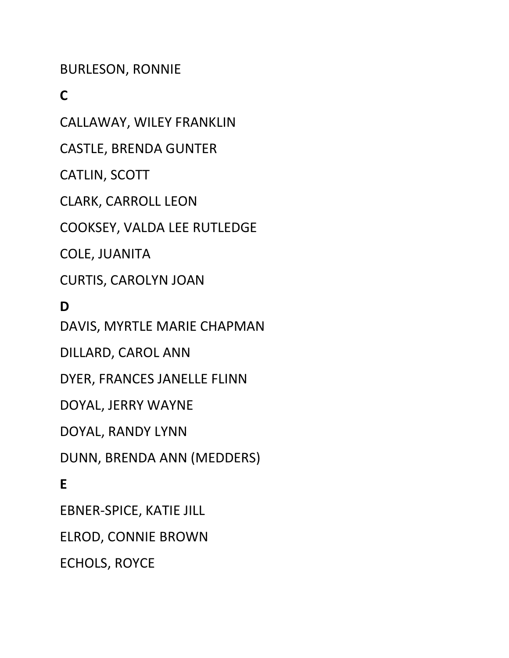BURLESON, RONNIE

C

CALLAWAY, WILEY FRANKLIN

CASTLE, BRENDA GUNTER

CATLIN, SCOTT

CLARK, CARROLL LEON

COOKSEY, VALDA LEE RUTLEDGE

COLE, JUANITA

CURTIS, CAROLYN JOAN

D

DAVIS, MYRTLE MARIE CHAPMAN

DILLARD, CAROL ANN

DYER, FRANCES JANELLE FLINN

DOYAL, JERRY WAYNE

DOYAL, RANDY LYNN

DUNN, BRENDA ANN (MEDDERS)

E

EBNER-SPICE, KATIE JILL

ELROD, CONNIE BROWN

ECHOLS, ROYCE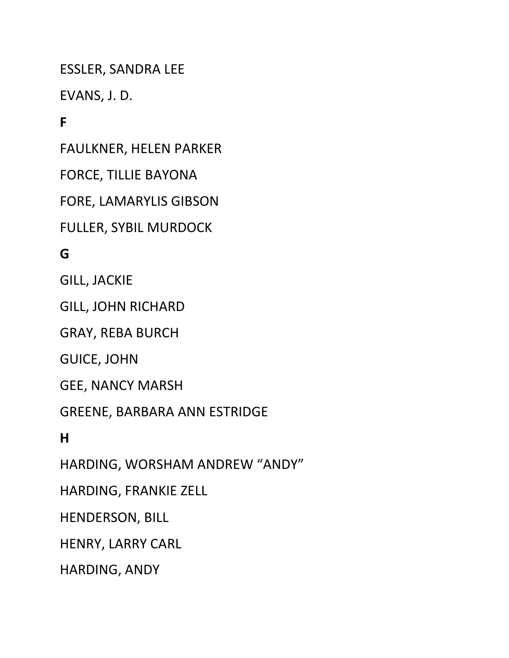ESSLER, SANDRA LEE

EVANS, J. D.

## F

FAULKNER, HELEN PARKER

FORCE, TILLIE BAYONA

FORE, LAMARYLIS GIBSON

FULLER, SYBIL MURDOCK

#### G

GILL, JACKIE

GILL, JOHN RICHARD

GRAY, REBA BURCH

GUICE, JOHN

GEE, NANCY MARSH

GREENE, BARBARA ANN ESTRIDGE

H

HARDING, WORSHAM ANDREW "ANDY"

HARDING, FRANKIE ZELL

HENDERSON, BILL

HENRY, LARRY CARL

HARDING, ANDY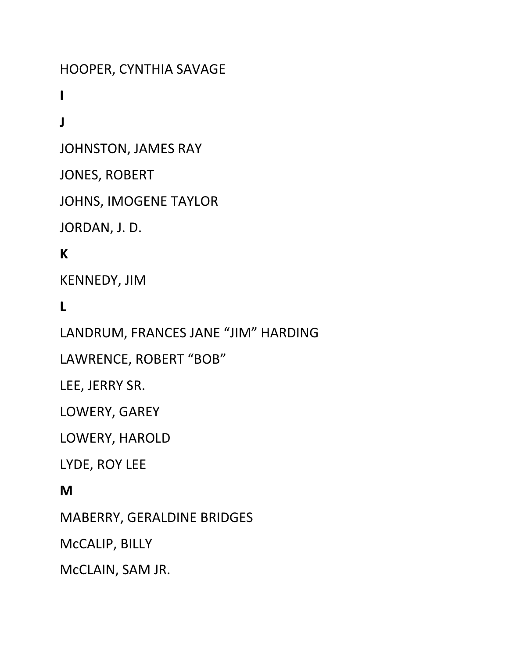HOOPER, CYNTHIA SAVAGE

I

J

JOHNSTON, JAMES RAY

JONES, ROBERT

JOHNS, IMOGENE TAYLOR

JORDAN, J. D.

#### K

KENNEDY, JIM

L

LANDRUM, FRANCES JANE "JIM" HARDING

LAWRENCE, ROBERT "BOB"

LEE, JERRY SR.

LOWERY, GAREY

LOWERY, HAROLD

LYDE, ROY LEE

#### M

MABERRY, GERALDINE BRIDGES

McCALIP, BILLY

McCLAIN, SAM JR.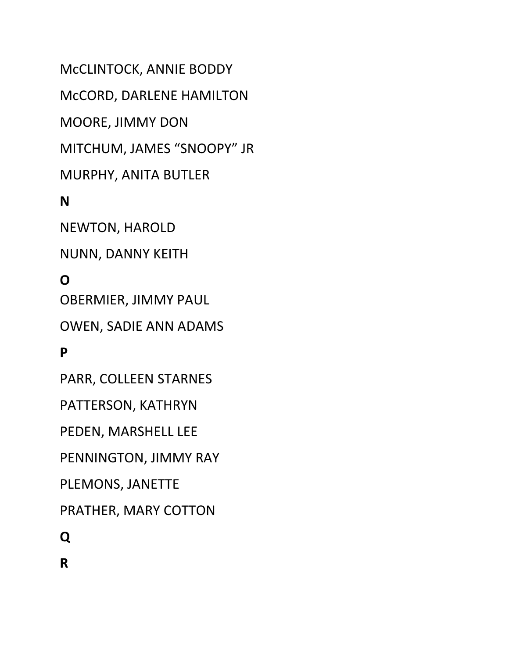McCLINTOCK, ANNIE BODDY McCORD, DARLENE HAMILTON MOORE, JIMMY DON MITCHUM, JAMES "SNOOPY" JR MURPHY, ANITA BUTLER N

NEWTON, HAROLD

NUNN, DANNY KEITH

### O

OBERMIER, JIMMY PAUL

OWEN, SADIE ANN ADAMS

#### P

PARR, COLLEEN STARNES

PATTERSON, KATHRYN

PEDEN, MARSHELL LEE

PENNINGTON, JIMMY RAY

PLEMONS, JANETTE

PRATHER, MARY COTTON

Q

R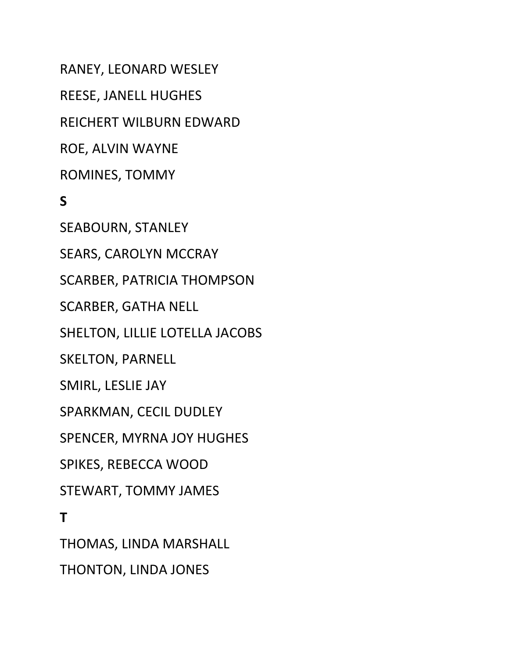RANEY, LEONARD WESLEY REESE, JANELL HUGHES REICHERT WILBURN EDWARD ROE, ALVIN WAYNE ROMINES, TOMMY S SEABOURN, STANLEY SEARS, CAROLYN MCCRAY SCARBER, PATRICIA THOMPSON SCARBER, GATHA NELL SHELTON, LILLIE LOTELLA JACOBS SKELTON, PARNELL SMIRL, LESLIE JAY SPARKMAN, CECIL DUDLEY SPENCER, MYRNA JOY HUGHES SPIKES, REBECCA WOOD STEWART, TOMMY JAMES T THOMAS, LINDA MARSHALL

THONTON, LINDA JONES